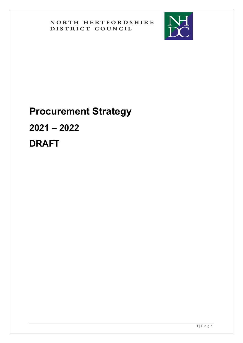

# **Procurement Strategy 2021 – 2022**

**DRAFT**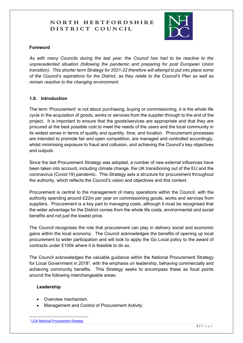

#### **Foreword**

*As with many Councils during the last year, the Council has had to be reactive to the unprecedented situation (following the pandemic and preparing for post European Union transition). This shorter term Strategy for 2021-22 therefore will attempt to put into place some of the Council's aspirations for the District, as they relate to the Council's Plan as well as remain reactive to the changing environment.* 

#### **1.0. Introduction**

The term 'Procurement' is not about purchasing, buying or commissioning, it is the whole life cycle in the acquisition of goods, works or services from the supplier through to the end of the project. It is important to ensure that the goods/services are appropriate and that they are procured at the best possible cost to meet the needs of the users and the local community in its widest sense in terms of quality and quantity, time, and location. Procurement processes are intended to promote fair and open competition, are managed and controlled accordingly, whilst minimising exposure to fraud and collusion, and achieving the Council's key objectives and outputs.

Since the last Procurement Strategy was adopted, a number of new external influences have been taken into account, including climate change, the UK transitioning out of the EU and the coronavirus (Covid-19) pandemic. This Strategy sets a structure for procurement throughout the authority, which reflects the Council's vision and objectives and this context.

Procurement is central to the management of many operations within the Council, with the authority spending around £22m per year on commissioning goods, works and services from suppliers. Procurement is a key part to managing costs, although it must be recognised that the wider advantage for the District comes from the whole life costs, environmental and social benefits and not just the lowest price.

The Council recognises the role that procurement can play in delivery social and economic gains within the local economy. The Council acknowledges the benefits of opening up local procurement to wider participation and will look to apply the Go Local policy to the award of contracts under £100k where it is feasible to do so.

The Council acknowledges the valuable guidance within the National Procurement Strategy for Local Government in 2018<sup>1</sup>, with the emphasis on leadership, behaving commercially and achieving community benefits. This Strategy seeks to encompass these as focal points around the following interchangeable areas:

#### **Leadership**

- Overview mechanism.
- Management and Control of Procurement Activity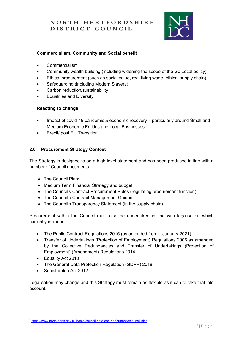

#### **Commercialism, Community and Social benefit**

- Commercialism
- Community wealth building (including widening the scope of the Go Local policy)
- Ethical procurement (such as social value, real living wage, ethical supply chain)
- Safeguarding (including Modern Slavery)
- Carbon reduction/sustainability
- Equalities and Diversity

## **Reacting to change**

- Impact of covid-19 pandemic & economic recovery particularly around Small and Medium Economic Entities and Local Businesses
- Brexit/ post EU Transition

## **2.0 Procurement Strategy Context**

The Strategy is designed to be a high-level statement and has been produced in line with a number of Council documents:

- The Council Plan<sup>2</sup>
- Medium Term Financial Strategy and budget;
- The Council's Contract Procurement Rules (regulating procurement function).
- The Council's Contract Management Guides
- The Council's Transparency Statement (in the supply chain)

Procurement within the Council must also be undertaken in line with legalisation which currently includes:

- The Public Contract Regulations 2015 (as amended from 1 January 2021)
- Transfer of Undertakings (Protection of Employment) Regulations 2006 as amended by the Collective Redundancies and Transfer of Undertakings (Protection of Employment) (Amendment) Regulations 2014
- Equality Act 2010
- The General Data Protection Regulation (GDPR) 2018
- Social Value Act 2012

Legalisation may change and this Strategy must remain as flexible as it can to take that into account.

<sup>2</sup> <https://www.north-herts.gov.uk/home/council-data-and-performance/council-plan>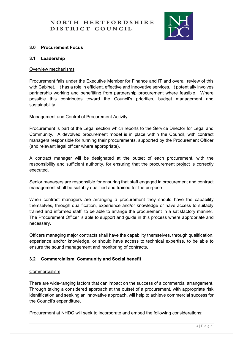

#### **3.0 Procurement Focus**

#### **3.1 Leadership**

#### Overview mechanisms

Procurement falls under the Executive Member for Finance and IT and overall review of this with Cabinet. It has a role in efficient, effective and innovative services. It potentially involves partnership working and benefitting from partnership procurement where feasible. Where possible this contributes toward the Council's priorities, budget management and sustainability.

#### Management and Control of Procurement Activity

Procurement is part of the Legal section which reports to the Service Director for Legal and Community. A devolved procurement model is in place within the Council, with contract managers responsible for running their procurements, supported by the Procurement Officer (and relevant legal officer where appropriate).

A contract manager will be designated at the outset of each procurement, with the responsibility and sufficient authority, for ensuring that the procurement project is correctly executed.

Senior managers are responsible for ensuring that staff engaged in procurement and contract management shall be suitably qualified and trained for the purpose.

When contract managers are arranging a procurement they should have the capability themselves, through qualification, experience and/or knowledge or have access to suitably trained and informed staff, to be able to arrange the procurement in a satisfactory manner. The Procurement Officer is able to support and guide in this process where appropriate and necessary.

Officers managing major contracts shall have the capability themselves, through qualification, experience and/or knowledge, or should have access to technical expertise, to be able to ensure the sound management and monitoring of contracts.

#### **3.2 Commercialism, Community and Social benefit**

#### Commercialism

There are wide-ranging factors that can impact on the success of a commercial arrangement. Through taking a considered approach at the outset of a procurement, with appropriate risk identification and seeking an innovative approach, will help to achieve commercial success for the Council's expenditure.

Procurement at NHDC will seek to incorporate and embed the following considerations: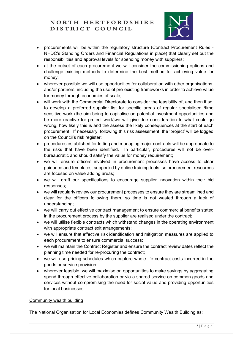

- procurements will be within the regulatory structure (Contract Procurement Rules NHDC's Standing Orders and Financial Regulations in place) that clearly set out the responsibilities and approval levels for spending money with suppliers;
- at the outset of each procurement we will consider the commissioning options and challenge existing methods to determine the best method for achieving value for money;
- wherever possible we will use opportunities for collaboration with other organisations, and/or partners, including the use of pre-existing frameworks in order to achieve value for money through economies of scale;
- will work with the Commercial Directorate to consider the feasibility of, and then if so, to develop a preferred supplier list for specific areas of regular specialised /time sensitive work (the aim being to capitalise on potential investment opportunities and be more reactive for project work)we will give due consideration to what could go wrong, how likely this is and the assess the likely consequences at the start of each procurement. If necessary, following this risk assessment, the 'project' will be logged on the Council's risk register;
- procedures established for letting and managing major contracts will be appropriate to the risks that have been identified. In particular, procedures will not be overbureaucratic and should satisfy the value for money requirement;
- we will ensure officers involved in procurement processes have access to clear guidance and templates, supported by online training tools, so procurement resources are focused on value adding areas;
- we will draft our specifications to encourage supplier innovation within their bid responses;
- we will regularly review our procurement processes to ensure they are streamlined and clear for the officers following them, so time is not wasted through a lack of understanding;
- we will carry out effective contract management to ensure commercial benefits stated in the procurement process by the supplier are realised under the contract;
- we will utilise flexible contracts which withstand changes in the operating environment with appropriate contract exit arrangements;
- we will ensure that effective risk identification and mitigation measures are applied to each procurement to ensure commercial success;
- we will maintain the Contract Register and ensure the contract review dates reflect the planning time needed for re-procuring the contract;
- we will use pricing schedules which capture whole life contract costs incurred in the goods or service provision.
- wherever feasible, we will maximise on opportunities to make savings by aggregating spend through effective collaboration or via a shared service on common goods and services without compromising the need for social value and providing opportunities for local businesses.

## Community wealth building

The National Organisation for Local Economies defines Community Wealth Building as: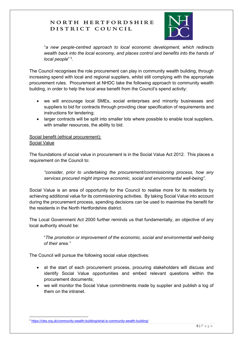

"*a new people-centred approach to local economic development, which redirects wealth back into the local economy, and places control and benefits into the hands of local people*" 3 .

The Council recognises the role procurement can play in community wealth building, through increasing spend with local and regional suppliers, whilst still complying with the appropriate procurement rules. Procurement at NHDC take the following approach to community wealth building, in order to help the local area benefit from the Council's spend activity:

- we will encourage local SMEs, social enterprises and minority businesses and suppliers to bid for contracts through providing clear specification of requirements and instructions for tendering;
- larger contracts will be split into smaller lots where possible to enable local suppliers, with smaller resources, the ability to bid.

#### Social benefit (ethical procurement): Social Value

The foundations of social value in procurement is in the Social Value Act 2012. This places a requirement on the Council to:

*"consider, prior to undertaking the procurement/commissioning process, how any services procured might improve economic, social and environmental well-being".*

Social Value is an area of opportunity for the Council to realise more for its residents by achieving additional value for its commissioning activities. By taking Social Value into account during the procurement process, spending decisions can be used to maximise the benefit for the residents in the North Hertfordshire district.

The Local Government Act 2000 further reminds us that fundamentally, an objective of any local authority should be:

"*The promotion or improvement of the economic, social and environmental well-being of their area."*

The Council will pursue the following social value objectives:

- at the start of each procurement process, procuring stakeholders will discuss and identify Social Value opportunities and embed relevant questions within the procurement documents;
- we will monitor the Social Value commitments made by supplier and publish a log of them on the intranet.

<sup>3</sup> <https://cles.org.uk/community-wealth-building/what-is-community-wealth-building/>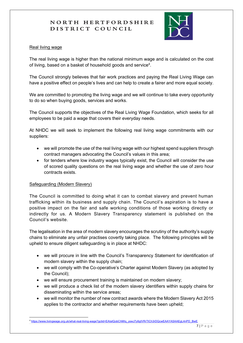

#### Real living wage

The real living wage is higher than the national minimum wage and is calculated on the cost of living, based on a basket of household goods and service<sup>4</sup>.

The Council strongly believes that fair work practices and paying the Real Living Wage can have a positive effect on people's lives and can help to create a fairer and more equal society.

We are committed to promoting the living wage and we will continue to take every opportunity to do so when buying goods, services and works.

The Council supports the objectives of the Real Living Wage Foundation, which seeks for all employees to be paid a wage that covers their everyday needs.

At NHDC we will seek to implement the following real living wage commitments with our suppliers:

- we will promote the use of the real living wage with our highest spend suppliers through contract managers advocating the Council's values in this area;
- for tenders where low industry wages typically exist, the Council will consider the use of scored quality questions on the real living wage and whether the use of zero hour contracts exists.

## Safeguarding (Modern Slavery)

The Council is committed to doing what it can to combat slavery and prevent human trafficking within its business and supply chain. The Council's aspiration is to have a positive impact on the fair and safe working conditions of those working directly or indirectly for us. A Modern Slavery Transparency statement is published on the Council's website.

The legalisation in the area of modern slavery encourages the scrutiny of the authority's supply chains to eliminate any unfair practises covertly taking place. The following principles will be upheld to ensure diligent safeguarding is in place at NHDC:

- we will procure in line with the Council's Transparency Statement for identification of modern slavery within the supply chain;
- we will comply with the Co-operative's Charter against Modern Slavery (as adopted by the Council);
- we will ensure procurement training is maintained on modern slavery;
- we will produce a check list of the modern slavery identifiers within supply chains for disseminating within the service areas;
- we will monitor the number of new contract awards where the Modern Slavery Act 2015 applies to the contractor and whether requirements have been upheld;

<sup>4</sup> [https://www.livingwage.org.uk/what-real-living-wage?gclid=EAIaIQobChMIq\\_yswJ7y6gIVRrTtCh3rDQcwEAAYASAAEgL4nPD\\_BwE](https://www.livingwage.org.uk/what-real-living-wage?gclid=EAIaIQobChMIq_yswJ7y6gIVRrTtCh3rDQcwEAAYASAAEgL4nPD_BwE)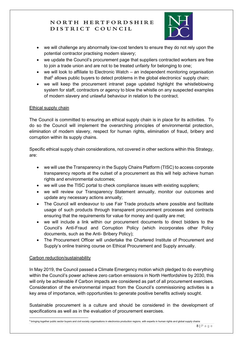

- we will challenge any abnormally low-cost tenders to ensure they do not rely upon the potential contractor practising modern slavery;
- we update the Council's procurement page that suppliers contracted workers are free to join a trade union and are not to be treated unfairly for belonging to one;
- we will look to affiliate to Electronic Watch an independent monitoring organisation that<sup>5</sup> allows public buyers to detect problems in the global electronics' supply chain;
- we will keep the procurement intranet page updated highlight the whistleblowing system for staff, contractors or agency to blow the whistle on any suspected examples of modern slavery and unlawful behaviour in relation to the contract.

## Ethical supply chain

The Council is committed to ensuring an ethical supply chain is in place for its activities. To do so the Council will implement the overarching principles of environmental protection, elimination of modern slavery, respect for human rights, elimination of fraud, bribery and corruption within its supply chains.

Specific ethical supply chain considerations, not covered in other sections within this Strategy, are:

- we will use the Transparency in the Supply Chains Platform (TISC) to access corporate transparency reports at the outset of a procurement as this will help achieve human rights and environmental outcomes;
- we will use the TISC portal to check compliance issues with existing suppliers;
- we will review our Transparency Statement annually, monitor our outcomes and update any necessary actions annually;
- The Council will endeavour to use Fair Trade products where possible and facilitate usage of such products through transparent procurement processes and contracts ensuring that the requirements for value for money and quality are met;
- we will include a link within our procurement documents to direct bidders to the Council's Anti-Fraud and Corruption Policy (which incorporates other Policy documents, such as the Anti- Bribery Policy);
- The Procurement Officer will undertake the Chartered Institute of Procurement and Supply's online training course on Ethical Procurement and Supply annually.

#### Carbon reduction/sustainability

In May 2019, the Council passed a Climate Emergency motion which pledged to do everything within the Council's power achieve zero carbon emissions in North Hertfordshire by 2030, this will only be achievable if Carbon impacts are considered as part of all procurement exercises. Consideration of the environmental impact from the Council's commissioning activities is a key area of importance, with opportunities to generate positive benefits actively sought.

Sustainable procurement is a culture and should be considered in the development of specifications as well as in the evaluation of procurement exercises.

<sup>5</sup> bringing together public sector buyers and civil society organisations in electronics production regions, with experts in human rights and global supply chains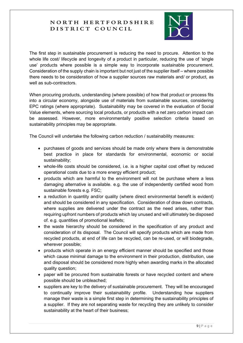

The first step in sustainable procurement is reducing the need to procure. Attention to the whole life cost/ lifecycle and longevity of a product in particular, reducing the use of 'single use' products where possible is a simple way to incorporate sustainable procurement. Consideration of the supply chain is important but not just of the supplier itself – where possible there needs to be consideration of how a supplier sources raw materials and/ or product, as well as sub-contractors.

When procuring products, understanding (where possible) of how that product or process fits into a circular economy, alongside use of materials from sustainable sources, considering EPC ratings (where appropriate). Sustainability may be covered in the evaluation of Social Value elements, where sourcing local products, or products with a net zero carbon impact can be assessed. However, more environmentally positive selection criteria based on sustainability principles may be appropriate.

The Council will undertake the following carbon reduction / sustainability measures:

- purchases of goods and services should be made only where there is demonstrable best practice in place for standards for environmental, economic or social sustainability;
- whole-life costs should be considered, i.e. is a higher capital cost offset by reduced operational costs due to a more energy efficient product;
- products which are harmful to the environment will not be purchase where a less damaging alternative is available. e.g. the use of independently certified wood from sustainable forests e.g. FSC;
- a reduction in quantity and/or quality (where direct environmental benefit is evident) and should be considered in any specification. Consideration of draw down contracts, where supplies are delivered under the contract as the need arises, rather than requiring upfront numbers of products which lay unused and will ultimately be disposed of. e.g. quantities of promotional leaflets;
- the waste hierarchy should be considered in the specification of any product and consideration of its disposal. The Council will specify products which are made from recycled products, at end of life can be recycled, can be re-used, or will biodegrade, wherever possible;
- products which operate in an energy efficient manner should be specified and those which cause minimal damage to the environment in their production, distribution, use and disposal should be considered more highly when awarding marks in the allocated quality question;
- paper will be procured from sustainable forests or have recycled content and where possible should be unbleached;
- suppliers are key to the delivery of sustainable procurement. They will be encouraged to continually improve their sustainability profile. Understanding how suppliers manage their waste is a simple first step in determining the sustainability principles of a supplier. If they are not separating waste for recycling they are unlikely to consider sustainability at the heart of their business;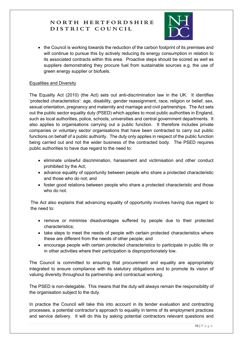

• the Council is working towards the reduction of the carbon footprint of its premises and will continue to pursue this by actively reducing its energy consumption in relation to its associated contracts within this area. Proactive steps should be scored as well as suppliers demonstrating they procure fuel from sustainable sources e.g. the use of green energy supplier or biofuels.

#### Equalities and Diversity

The Equality Act (2010) (the Act) sets out anti-discrimination law in the UK. It identifies 'protected characteristics': age, disability, gender reassignment, race, religion or belief, sex, sexual orientation, pregnancy and maternity and marriage and civil partnerships. The Act sets out the public sector equality duty (PSED) which applies to most public authorities in England, such as local authorities, police, schools, universities and central government departments. It also applies to organisations carrying out a public function. It therefore includes private companies or voluntary sector organisations that have been contracted to carry out public functions on behalf of a public authority. The duty only applies in respect of the public function being carried out and not the wider business of the contracted body. The PSED requires public authorities to have due regard to the need to:

- eliminate unlawful discrimination, harassment and victimisation and other conduct prohibited by the Act;
- advance equality of opportunity between people who share a protected characteristic and those who do not; and
- foster good relations between people who share a protected characteristic and those who do not.

The Act also explains that advancing equality of opportunity involves having due regard to the need to:

- remove or minimise disadvantages suffered by people due to their protected characteristics;
- take steps to meet the needs of people with certain protected characteristics where these are different from the needs of other people; and
- encourage people with certain protected characteristics to participate in public life or in other activities where their participation is disproportionately low.

The Council is committed to ensuring that procurement and equality are appropriately integrated to ensure compliance with its statutory obligations and to promote its vision of valuing diversity throughout its partnership and contractual working.

The PSED is non-delegable. This means that the duty will always remain the responsibility of the organisation subject to the duty.

In practice the Council will take this into account in its tender evaluation and contracting processes, a potential contractor's approach to equality in terms of its employment practices and service delivery. It will do this by asking potential contractors relevant questions and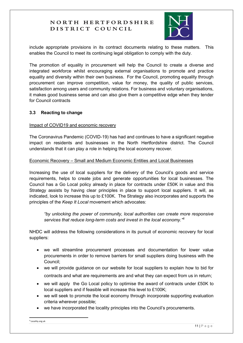

include appropriate provisions in its contract documents relating to these matters. This enables the Council to meet its continuing legal obligation to comply with the duty.

The promotion of equality in procurement will help the Council to create a diverse and integrated workforce whilst encouraging external organisations to promote and practice equality and diversity within their own business. For the Council, promoting equality through procurement can improve competition, value for money, the quality of public services, satisfaction among users and community relations. For business and voluntary organisations, it makes good business sense and can also give them a competitive edge when they tender for Council contracts

#### **3.3 Reacting to change**

#### Impact of COVID19 and economic recovery

The Coronavirus Pandemic (COVID-19) has had and continues to have a significant negative impact on residents and businesses in the North Hertfordshire district. The Council understands that it can play a role in helping the local economy recover.

#### Economic Recovery – Small and Medium Economic Entities and Local Businesses

Increasing the use of local suppliers for the delivery of the Council's goods and service requirements, helps to create jobs and generate opportunities for local businesses. The Council has a Go Local policy already in place for contracts under £50K in value and this Strategy assists by having clear principles in place to support local suppliers. It will, as indicated, look to increase this up to £100K. The Strategy also incorporates and supports the principles of the *Keep It Local* movement which advocates:

*"by unlocking the power of community, local authorities can create more responsive services that reduce long-term costs and invest in the local economy."<sup>6</sup>*

NHDC will address the following considerations in its pursuit of economic recovery for local suppliers:

- we will streamline procurement processes and documentation for lower value procurements in order to remove barriers for small suppliers doing business with the Council;
- we will provide guidance on our website for local suppliers to explain how to bid for contracts and what are requirements are and what they can expect from us in return;
- we will apply the Go Local policy to optimise the award of contracts under £50K to local suppliers and if feasible will increase this level to £100K;
- we will seek to promote the local economy through incorporate supporting evaluation criteria wherever possible;
- we have incorporated the locality principles into the Council's procurements.

6 Locality.org.uk